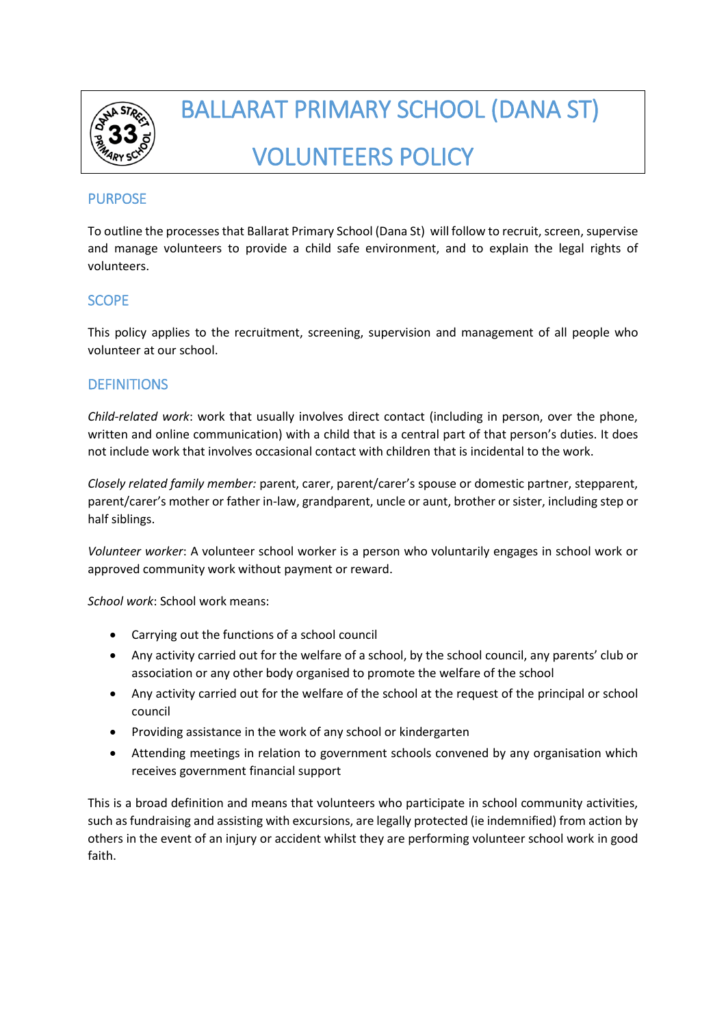

# BALLARAT PRIMARY SCHOOL (DANA ST) VOLUNTEERS POLICY

# PURPOSE

To outline the processes that Ballarat Primary School (Dana St) will follow to recruit, screen, supervise and manage volunteers to provide a child safe environment, and to explain the legal rights of volunteers.

# **SCOPE**

This policy applies to the recruitment, screening, supervision and management of all people who volunteer at our school.

## **DEFINITIONS**

*Child-related work*: work that usually involves direct contact (including in person, over the phone, written and online communication) with a child that is a central part of that person's duties. It does not include work that involves occasional contact with children that is incidental to the work.

*Closely related family member:* parent, carer, parent/carer's spouse or domestic partner, stepparent, parent/carer's mother or father in-law, grandparent, uncle or aunt, brother or sister, including step or half siblings.

*Volunteer worker*: A volunteer school worker is a person who voluntarily engages in school work or approved community work without payment or reward.

*School work*: School work means:

- Carrying out the functions of a school council
- Any activity carried out for the welfare of a school, by the school council, any parents' club or association or any other body organised to promote the welfare of the school
- Any activity carried out for the welfare of the school at the request of the principal or school council
- Providing assistance in the work of any school or kindergarten
- Attending meetings in relation to government schools convened by any organisation which receives government financial support

This is a broad definition and means that volunteers who participate in school community activities, such as fundraising and assisting with excursions, are legally protected (ie indemnified) from action by others in the event of an injury or accident whilst they are performing volunteer school work in good faith.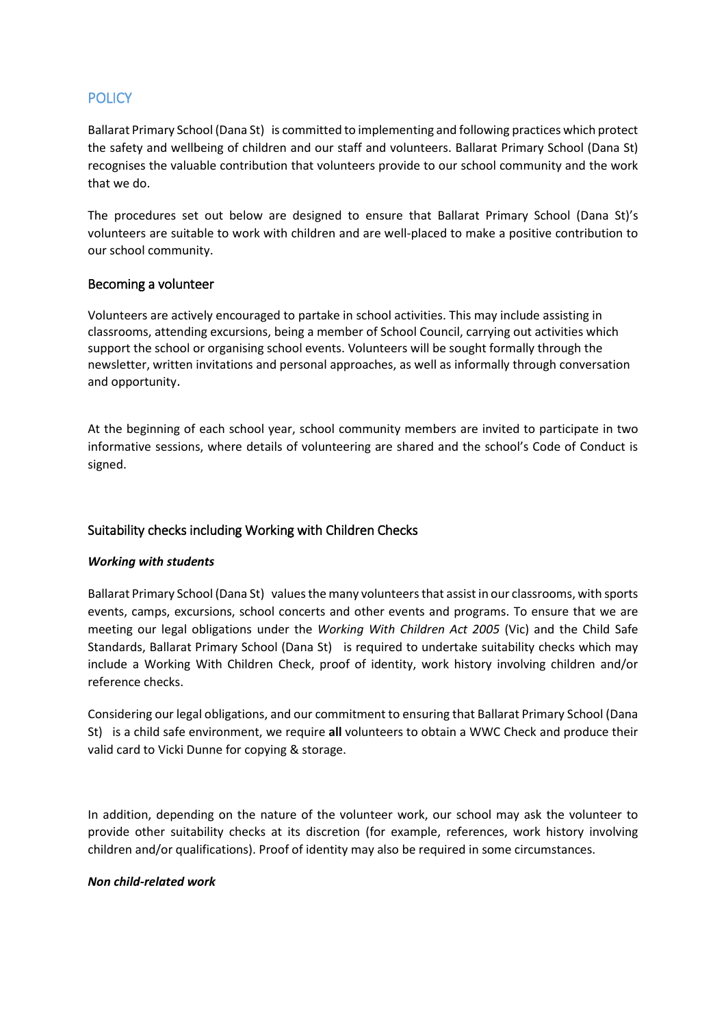# **POLICY**

Ballarat Primary School (Dana St) is committed to implementing and following practices which protect the safety and wellbeing of children and our staff and volunteers. Ballarat Primary School (Dana St) recognises the valuable contribution that volunteers provide to our school community and the work that we do.

The procedures set out below are designed to ensure that Ballarat Primary School (Dana St)'s volunteers are suitable to work with children and are well-placed to make a positive contribution to our school community.

## Becoming a volunteer

Volunteers are actively encouraged to partake in school activities. This may include assisting in classrooms, attending excursions, being a member of School Council, carrying out activities which support the school or organising school events. Volunteers will be sought formally through the newsletter, written invitations and personal approaches, as well as informally through conversation and opportunity.

At the beginning of each school year, school community members are invited to participate in two informative sessions, where details of volunteering are shared and the school's Code of Conduct is signed.

## Suitability checks including Working with Children Checks

#### *Working with students*

Ballarat Primary School (Dana St) values the many volunteersthat assist in our classrooms, with sports events, camps, excursions, school concerts and other events and programs. To ensure that we are meeting our legal obligations under the *Working With Children Act 2005* (Vic) and the Child Safe Standards, Ballarat Primary School (Dana St) is required to undertake suitability checks which may include a Working With Children Check, proof of identity, work history involving children and/or reference checks.

Considering our legal obligations, and our commitment to ensuring that Ballarat Primary School (Dana St) is a child safe environment, we require **all** volunteers to obtain a WWC Check and produce their valid card to Vicki Dunne for copying & storage.

In addition, depending on the nature of the volunteer work, our school may ask the volunteer to provide other suitability checks at its discretion (for example, references, work history involving children and/or qualifications). Proof of identity may also be required in some circumstances.

#### *Non child-related work*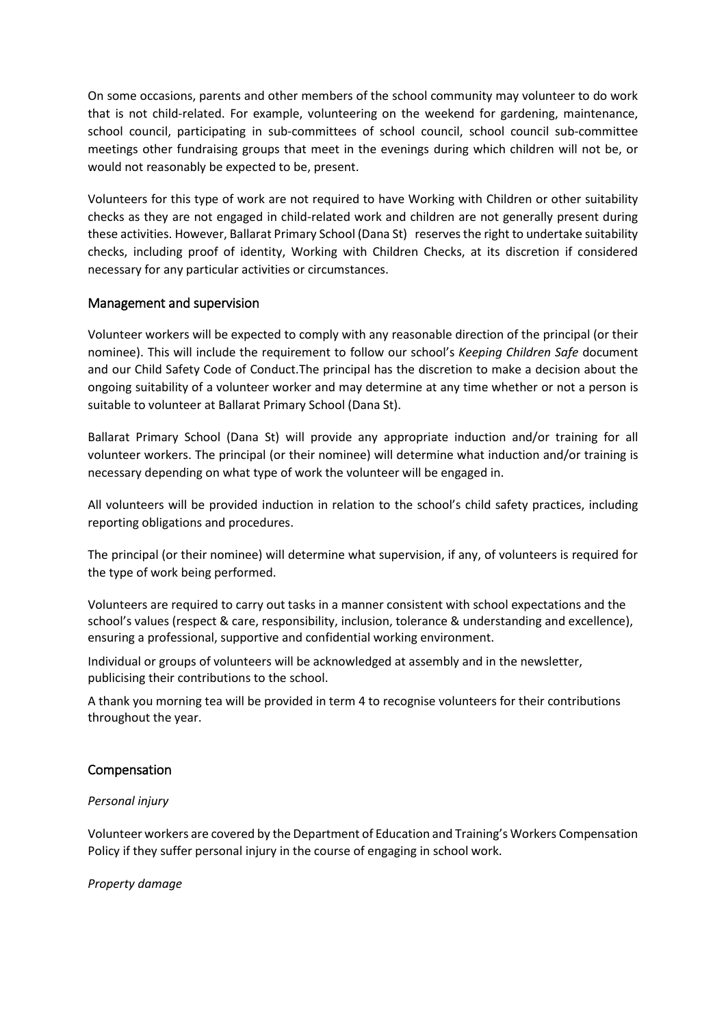On some occasions, parents and other members of the school community may volunteer to do work that is not child-related. For example, volunteering on the weekend for gardening, maintenance, school council, participating in sub-committees of school council, school council sub-committee meetings other fundraising groups that meet in the evenings during which children will not be, or would not reasonably be expected to be, present.

Volunteers for this type of work are not required to have Working with Children or other suitability checks as they are not engaged in child-related work and children are not generally present during these activities. However, Ballarat Primary School (Dana St) reserves the right to undertake suitability checks, including proof of identity, Working with Children Checks, at its discretion if considered necessary for any particular activities or circumstances.

## Management and supervision

Volunteer workers will be expected to comply with any reasonable direction of the principal (or their nominee). This will include the requirement to follow our school's *Keeping Children Safe* document and our Child Safety Code of Conduct.The principal has the discretion to make a decision about the ongoing suitability of a volunteer worker and may determine at any time whether or not a person is suitable to volunteer at Ballarat Primary School (Dana St).

Ballarat Primary School (Dana St) will provide any appropriate induction and/or training for all volunteer workers. The principal (or their nominee) will determine what induction and/or training is necessary depending on what type of work the volunteer will be engaged in.

All volunteers will be provided induction in relation to the school's child safety practices, including reporting obligations and procedures.

The principal (or their nominee) will determine what supervision, if any, of volunteers is required for the type of work being performed.

Volunteers are required to carry out tasks in a manner consistent with school expectations and the school's values (respect & care, responsibility, inclusion, tolerance & understanding and excellence), ensuring a professional, supportive and confidential working environment.

Individual or groups of volunteers will be acknowledged at assembly and in the newsletter, publicising their contributions to the school.

A thank you morning tea will be provided in term 4 to recognise volunteers for their contributions throughout the year.

#### Compensation

#### *Personal injury*

Volunteer workers are covered by the Department of Education and Training's Workers Compensation Policy if they suffer personal injury in the course of engaging in school work.

#### *Property damage*